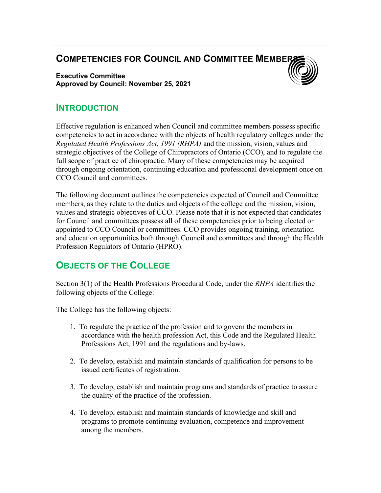## **COMPETENCIES FOR COUNCIL AND COMMITTEE MEMBER**

Executive Committee Approved by Council: November 25, 2021



### **INTRODUCTION**

Effective regulation is enhanced when Council and committee members possess specific competencies to act in accordance with the objects of health regulatory colleges under the Regulated Health Professions Act, 1991 (RHPA) and the mission, vision, values and strategic objectives of the College of Chiropractors of Ontario (CCO), and to regulate the full scope of practice of chiropractic. Many of these competencies may be acquired through ongoing orientation, continuing education and professional development once on CCO Council and committees.

The following document outlines the competencies expected of Council and Committee members, as they relate to the duties and objects of the college and the mission, vision, values and strategic objectives of CCO. Please note that it is not expected that candidates for Council and committees possess all of these competencies prior to being elected or appointed to CCO Council or committees. CCO provides ongoing training, orientation and education opportunities both through Council and committees and through the Health Profession Regulators of Ontario (HPRO).

# OBJECTS OF THE COLLEGE

Section 3(1) of the Health Professions Procedural Code, under the *RHPA* identifies the following objects of the College:

The College has the following objects:

- 1. To regulate the practice of the profession and to govern the members in accordance with the health profession Act, this Code and the Regulated Health Professions Act, 1991 and the regulations and by-laws.
- 2. To develop, establish and maintain standards of qualification for persons to be issued certificates of registration.
- 3. To develop, establish and maintain programs and standards of practice to assure the quality of the practice of the profession.
- 4. To develop, establish and maintain standards of knowledge and skill and programs to promote continuing evaluation, competence and improvement among the members.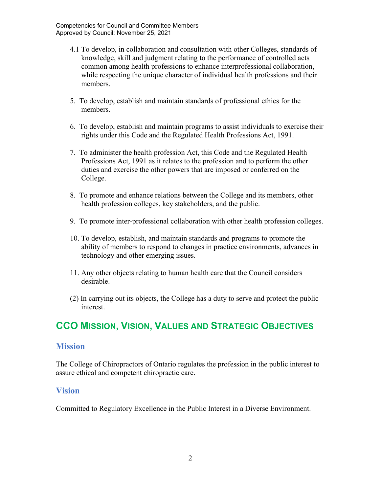- 4.1 To develop, in collaboration and consultation with other Colleges, standards of knowledge, skill and judgment relating to the performance of controlled acts common among health professions to enhance interprofessional collaboration, while respecting the unique character of individual health professions and their members.
- 5. To develop, establish and maintain standards of professional ethics for the members.
- 6. To develop, establish and maintain programs to assist individuals to exercise their rights under this Code and the Regulated Health Professions Act, 1991.
- 7. To administer the health profession Act, this Code and the Regulated Health Professions Act, 1991 as it relates to the profession and to perform the other duties and exercise the other powers that are imposed or conferred on the College.
- 8. To promote and enhance relations between the College and its members, other health profession colleges, key stakeholders, and the public.
- 9. To promote inter-professional collaboration with other health profession colleges.
- 10. To develop, establish, and maintain standards and programs to promote the ability of members to respond to changes in practice environments, advances in technology and other emerging issues.
- 11. Any other objects relating to human health care that the Council considers desirable.
- (2) In carrying out its objects, the College has a duty to serve and protect the public interest.

# CCO MISSION, VISION, VALUES AND STRATEGIC OBJECTIVES

### **Mission**

The College of Chiropractors of Ontario regulates the profession in the public interest to assure ethical and competent chiropractic care.

### Vision

Committed to Regulatory Excellence in the Public Interest in a Diverse Environment.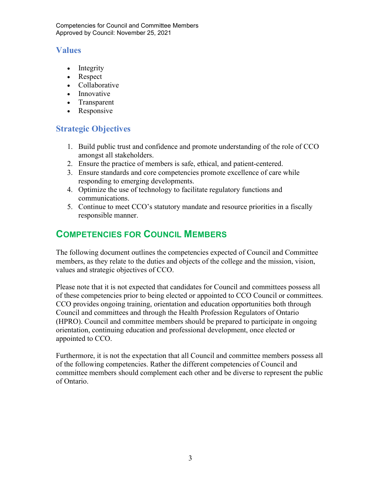### Values

- Integrity
- Respect
- Collaborative
- Innovative
- Transparent
- Responsive

### Strategic Objectives

- 1. Build public trust and confidence and promote understanding of the role of CCO amongst all stakeholders.
- 2. Ensure the practice of members is safe, ethical, and patient-centered.
- 3. Ensure standards and core competencies promote excellence of care while responding to emerging developments.
- 4. Optimize the use of technology to facilitate regulatory functions and communications.
- 5. Continue to meet CCO's statutory mandate and resource priorities in a fiscally responsible manner.

# COMPETENCIES FOR COUNCIL MEMBERS

The following document outlines the competencies expected of Council and Committee members, as they relate to the duties and objects of the college and the mission, vision, values and strategic objectives of CCO.

Please note that it is not expected that candidates for Council and committees possess all of these competencies prior to being elected or appointed to CCO Council or committees. CCO provides ongoing training, orientation and education opportunities both through Council and committees and through the Health Profession Regulators of Ontario (HPRO). Council and committee members should be prepared to participate in ongoing orientation, continuing education and professional development, once elected or appointed to CCO.

Furthermore, it is not the expectation that all Council and committee members possess all of the following competencies. Rather the different competencies of Council and committee members should complement each other and be diverse to represent the public of Ontario.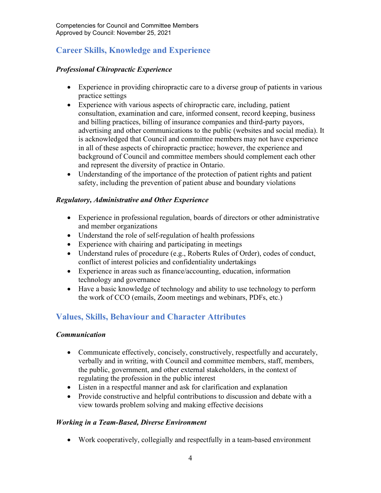## Career Skills, Knowledge and Experience

### Professional Chiropractic Experience

- Experience in providing chiropractic care to a diverse group of patients in various practice settings
- Experience with various aspects of chiropractic care, including, patient consultation, examination and care, informed consent, record keeping, business and billing practices, billing of insurance companies and third-party payors, advertising and other communications to the public (websites and social media). It is acknowledged that Council and committee members may not have experience in all of these aspects of chiropractic practice; however, the experience and background of Council and committee members should complement each other and represent the diversity of practice in Ontario.
- Understanding of the importance of the protection of patient rights and patient safety, including the prevention of patient abuse and boundary violations

### Regulatory, Administrative and Other Experience

- Experience in professional regulation, boards of directors or other administrative and member organizations
- Understand the role of self-regulation of health professions
- Experience with chairing and participating in meetings
- Understand rules of procedure (e.g., Roberts Rules of Order), codes of conduct, conflict of interest policies and confidentiality undertakings
- Experience in areas such as finance/accounting, education, information technology and governance
- Have a basic knowledge of technology and ability to use technology to perform the work of CCO (emails, Zoom meetings and webinars, PDFs, etc.)

### Values, Skills, Behaviour and Character Attributes

### Communication

- Communicate effectively, concisely, constructively, respectfully and accurately, verbally and in writing, with Council and committee members, staff, members, the public, government, and other external stakeholders, in the context of regulating the profession in the public interest
- Listen in a respectful manner and ask for clarification and explanation
- Provide constructive and helpful contributions to discussion and debate with a view towards problem solving and making effective decisions

### Working in a Team-Based, Diverse Environment

Work cooperatively, collegially and respectfully in a team-based environment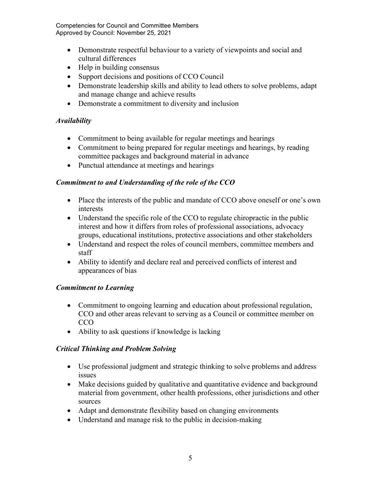- Demonstrate respectful behaviour to a variety of viewpoints and social and cultural differences
- Help in building consensus
- Support decisions and positions of CCO Council
- Demonstrate leadership skills and ability to lead others to solve problems, adapt and manage change and achieve results
- Demonstrate a commitment to diversity and inclusion

### **Availability**

- Commitment to being available for regular meetings and hearings
- Commitment to being prepared for regular meetings and hearings, by reading committee packages and background material in advance
- Punctual attendance at meetings and hearings

### Commitment to and Understanding of the role of the CCO

- Place the interests of the public and mandate of CCO above oneself or one's own interests
- Understand the specific role of the CCO to regulate chiropractic in the public interest and how it differs from roles of professional associations, advocacy groups, educational institutions, protective associations and other stakeholders
- Understand and respect the roles of council members, committee members and staff
- Ability to identify and declare real and perceived conflicts of interest and appearances of bias

### Commitment to Learning

- Commitment to ongoing learning and education about professional regulation, CCO and other areas relevant to serving as a Council or committee member on CCO
- Ability to ask questions if knowledge is lacking

### Critical Thinking and Problem Solving

- Use professional judgment and strategic thinking to solve problems and address issues
- Make decisions guided by qualitative and quantitative evidence and background material from government, other health professions, other jurisdictions and other sources
- Adapt and demonstrate flexibility based on changing environments
- Understand and manage risk to the public in decision-making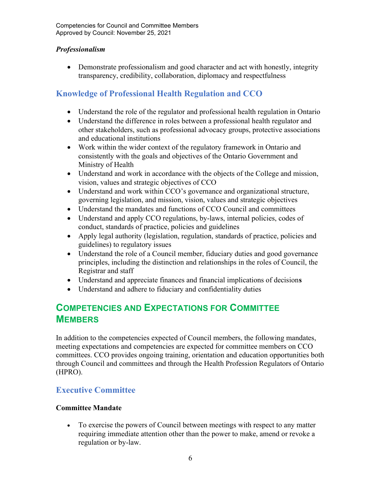### Professionalism

 Demonstrate professionalism and good character and act with honestly, integrity transparency, credibility, collaboration, diplomacy and respectfulness

### Knowledge of Professional Health Regulation and CCO

- Understand the role of the regulator and professional health regulation in Ontario
- Understand the difference in roles between a professional health regulator and other stakeholders, such as professional advocacy groups, protective associations and educational institutions
- Work within the wider context of the regulatory framework in Ontario and consistently with the goals and objectives of the Ontario Government and Ministry of Health
- Understand and work in accordance with the objects of the College and mission, vision, values and strategic objectives of CCO
- Understand and work within CCO's governance and organizational structure, governing legislation, and mission, vision, values and strategic objectives
- Understand the mandates and functions of CCO Council and committees
- Understand and apply CCO regulations, by-laws, internal policies, codes of conduct, standards of practice, policies and guidelines
- Apply legal authority (legislation, regulation, standards of practice, policies and guidelines) to regulatory issues
- Understand the role of a Council member, fiduciary duties and good governance principles, including the distinction and relationships in the roles of Council, the Registrar and staff
- Understand and appreciate finances and financial implications of decisions
- Understand and adhere to fiduciary and confidentiality duties

## COMPETENCIES AND EXPECTATIONS FOR COMMITTEE **MEMBERS**

In addition to the competencies expected of Council members, the following mandates, meeting expectations and competencies are expected for committee members on CCO committees. CCO provides ongoing training, orientation and education opportunities both through Council and committees and through the Health Profession Regulators of Ontario (HPRO).

### Executive Committee

### Committee Mandate

 To exercise the powers of Council between meetings with respect to any matter requiring immediate attention other than the power to make, amend or revoke a regulation or by-law.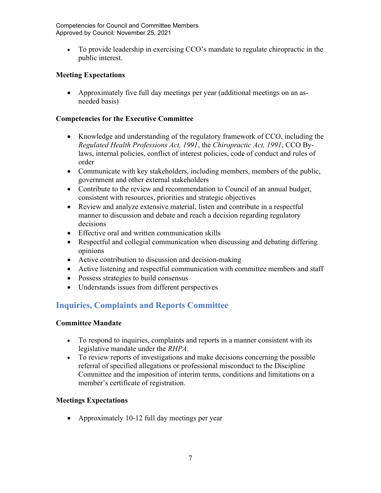To provide leadership in exercising CCO's mandate to regulate chiropractic in the public interest.

### Meeting Expectations

 Approximately five full day meetings per year (additional meetings on an asneeded basis)

### Competencies for the Executive Committee

- Knowledge and understanding of the regulatory framework of CCO, including the Regulated Health Professions Act, 1991, the Chiropractic Act, 1991, CCO Bylaws, internal policies, conflict of interest policies, code of conduct and rules of order
- Communicate with key stakeholders, including members, members of the public, government and other external stakeholders
- Contribute to the review and recommendation to Council of an annual budget, consistent with resources, priorities and strategic objectives
- Review and analyze extensive material, listen and contribute in a respectful manner to discussion and debate and reach a decision regarding regulatory decisions
- Effective oral and written communication skills
- Respectful and collegial communication when discussing and debating differing opinions
- Active contribution to discussion and decision-making
- Active listening and respectful communication with committee members and staff
- Possess strategies to build consensus
- Understands issues from different perspectives

### Inquiries, Complaints and Reports Committee

### Committee Mandate

- To respond to inquiries, complaints and reports in a manner consistent with its legislative mandate under the RHPA.
- To review reports of investigations and make decisions concerning the possible referral of specified allegations or professional misconduct to the Discipline Committee and the imposition of interim terms, conditions and limitations on a member's certificate of registration.

### Meetings Expectations

Approximately 10-12 full day meetings per year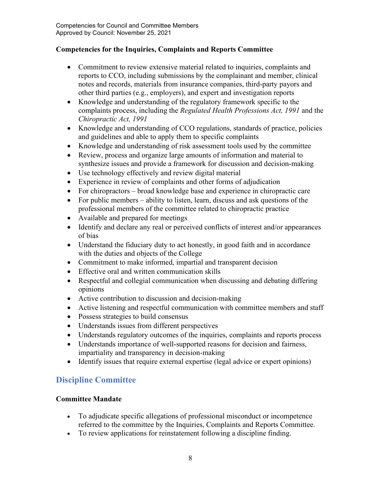### Competencies for the Inquiries, Complaints and Reports Committee

- Commitment to review extensive material related to inquiries, complaints and reports to CCO, including submissions by the complainant and member, clinical notes and records, materials from insurance companies, third-party payors and other third parties (e.g., employers), and expert and investigation reports
- Knowledge and understanding of the regulatory framework specific to the complaints process, including the Regulated Health Professions Act, 1991 and the Chiropractic Act, 1991
- Knowledge and understanding of CCO regulations, standards of practice, policies and guidelines and able to apply them to specific complaints
- Knowledge and understanding of risk assessment tools used by the committee
- Review, process and organize large amounts of information and material to synthesize issues and provide a framework for discussion and decision-making
- Use technology effectively and review digital material
- Experience in review of complaints and other forms of adjudication
- For chiropractors broad knowledge base and experience in chiropractic care
- For public members ability to listen, learn, discuss and ask questions of the professional members of the committee related to chiropractic practice
- Available and prepared for meetings
- Identify and declare any real or perceived conflicts of interest and/or appearances of bias
- Understand the fiduciary duty to act honestly, in good faith and in accordance with the duties and objects of the College
- Commitment to make informed, impartial and transparent decision
- Effective oral and written communication skills
- Respectful and collegial communication when discussing and debating differing opinions
- Active contribution to discussion and decision-making
- Active listening and respectful communication with committee members and staff
- Possess strategies to build consensus
- Understands issues from different perspectives
- Understands regulatory outcomes of the inquiries, complaints and reports process
- Understands importance of well-supported reasons for decision and fairness, impartiality and transparency in decision-making
- Identify issues that require external expertise (legal advice or expert opinions)

### Discipline Committee

### Committee Mandate

- To adjudicate specific allegations of professional misconduct or incompetence referred to the committee by the Inquiries, Complaints and Reports Committee.
- To review applications for reinstatement following a discipline finding.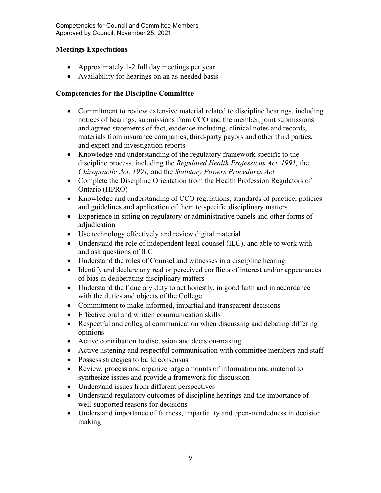### Meetings Expectations

- Approximately 1-2 full day meetings per year
- Availability for hearings on an as-needed basis

### Competencies for the Discipline Committee

- Commitment to review extensive material related to discipline hearings, including notices of hearings, submissions from CCO and the member, joint submissions and agreed statements of fact, evidence including, clinical notes and records, materials from insurance companies, third-party payors and other third parties, and expert and investigation reports
- Knowledge and understanding of the regulatory framework specific to the discipline process, including the Regulated Health Professions Act, 1991, the Chiropractic Act, 1991, and the Statutory Powers Procedures Act
- Complete the Discipline Orientation from the Health Profession Regulators of Ontario (HPRO)
- Knowledge and understanding of CCO regulations, standards of practice, policies and guidelines and application of them to specific disciplinary matters
- Experience in sitting on regulatory or administrative panels and other forms of adjudication
- Use technology effectively and review digital material
- Understand the role of independent legal counsel (ILC), and able to work with and ask questions of ILC
- Understand the roles of Counsel and witnesses in a discipline hearing
- Identify and declare any real or perceived conflicts of interest and/or appearances of bias in deliberating disciplinary matters
- Understand the fiduciary duty to act honestly, in good faith and in accordance with the duties and objects of the College
- Commitment to make informed, impartial and transparent decisions
- Effective oral and written communication skills
- Respectful and collegial communication when discussing and debating differing opinions
- Active contribution to discussion and decision-making
- Active listening and respectful communication with committee members and staff
- Possess strategies to build consensus
- Review, process and organize large amounts of information and material to synthesize issues and provide a framework for discussion
- Understand issues from different perspectives
- Understand regulatory outcomes of discipline hearings and the importance of well-supported reasons for decisions
- Understand importance of fairness, impartiality and open-mindedness in decision making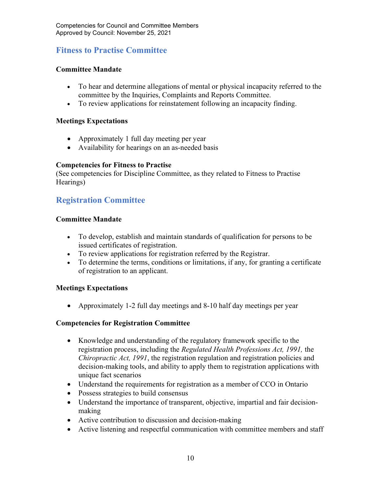### Fitness to Practise Committee

#### Committee Mandate

- To hear and determine allegations of mental or physical incapacity referred to the committee by the Inquiries, Complaints and Reports Committee.
- To review applications for reinstatement following an incapacity finding.

#### Meetings Expectations

- Approximately 1 full day meeting per year
- Availability for hearings on an as-needed basis

#### Competencies for Fitness to Practise

(See competencies for Discipline Committee, as they related to Fitness to Practise Hearings)

### Registration Committee

#### Committee Mandate

- To develop, establish and maintain standards of qualification for persons to be issued certificates of registration.
- To review applications for registration referred by the Registrar.
- To determine the terms, conditions or limitations, if any, for granting a certificate of registration to an applicant.

### Meetings Expectations

Approximately 1-2 full day meetings and 8-10 half day meetings per year

### Competencies for Registration Committee

- Knowledge and understanding of the regulatory framework specific to the registration process, including the Regulated Health Professions Act, 1991, the Chiropractic Act, 1991, the registration regulation and registration policies and decision-making tools, and ability to apply them to registration applications with unique fact scenarios
- Understand the requirements for registration as a member of CCO in Ontario
- Possess strategies to build consensus
- Understand the importance of transparent, objective, impartial and fair decisionmaking
- Active contribution to discussion and decision-making
- Active listening and respectful communication with committee members and staff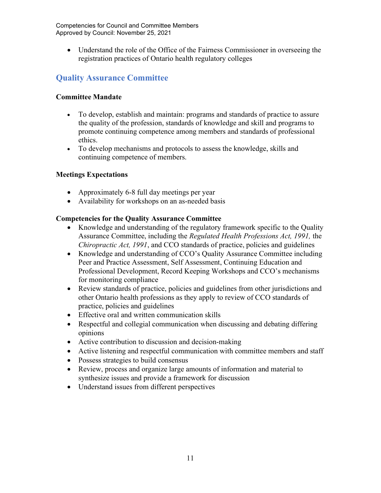Understand the role of the Office of the Fairness Commissioner in overseeing the registration practices of Ontario health regulatory colleges

## Quality Assurance Committee

### Committee Mandate

- To develop, establish and maintain: programs and standards of practice to assure the quality of the profession, standards of knowledge and skill and programs to promote continuing competence among members and standards of professional ethics.
- To develop mechanisms and protocols to assess the knowledge, skills and continuing competence of members.

### Meetings Expectations

- Approximately 6-8 full day meetings per year
- Availability for workshops on an as-needed basis

### Competencies for the Quality Assurance Committee

- Knowledge and understanding of the regulatory framework specific to the Quality Assurance Committee, including the Regulated Health Professions Act, 1991, the Chiropractic Act, 1991, and CCO standards of practice, policies and guidelines
- Knowledge and understanding of CCO's Quality Assurance Committee including Peer and Practice Assessment, Self Assessment, Continuing Education and Professional Development, Record Keeping Workshops and CCO's mechanisms for monitoring compliance
- Review standards of practice, policies and guidelines from other jurisdictions and other Ontario health professions as they apply to review of CCO standards of practice, policies and guidelines
- Effective oral and written communication skills
- Respectful and collegial communication when discussing and debating differing opinions
- Active contribution to discussion and decision-making
- Active listening and respectful communication with committee members and staff
- Possess strategies to build consensus
- Review, process and organize large amounts of information and material to synthesize issues and provide a framework for discussion
- Understand issues from different perspectives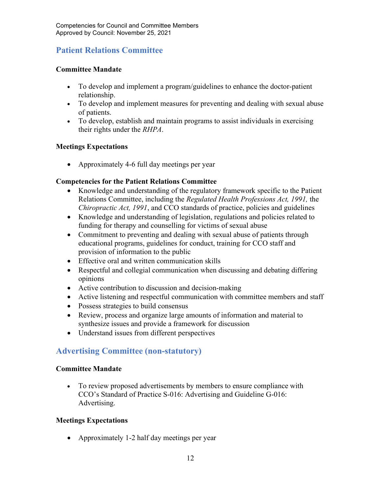### Patient Relations Committee

### Committee Mandate

- To develop and implement a program/guidelines to enhance the doctor-patient relationship.
- To develop and implement measures for preventing and dealing with sexual abuse of patients.
- To develop, establish and maintain programs to assist individuals in exercising their rights under the RHPA.

### Meetings Expectations

• Approximately 4-6 full day meetings per year

### Competencies for the Patient Relations Committee

- Knowledge and understanding of the regulatory framework specific to the Patient Relations Committee, including the Regulated Health Professions Act, 1991, the Chiropractic Act, 1991, and CCO standards of practice, policies and guidelines
- Knowledge and understanding of legislation, regulations and policies related to funding for therapy and counselling for victims of sexual abuse
- Commitment to preventing and dealing with sexual abuse of patients through educational programs, guidelines for conduct, training for CCO staff and provision of information to the public
- Effective oral and written communication skills
- Respectful and collegial communication when discussing and debating differing opinions
- Active contribution to discussion and decision-making
- Active listening and respectful communication with committee members and staff
- Possess strategies to build consensus
- Review, process and organize large amounts of information and material to synthesize issues and provide a framework for discussion
- Understand issues from different perspectives

### Advertising Committee (non-statutory)

### Committee Mandate

 To review proposed advertisements by members to ensure compliance with CCO's Standard of Practice S-016: Advertising and Guideline G-016: Advertising.

### Meetings Expectations

• Approximately 1-2 half day meetings per year